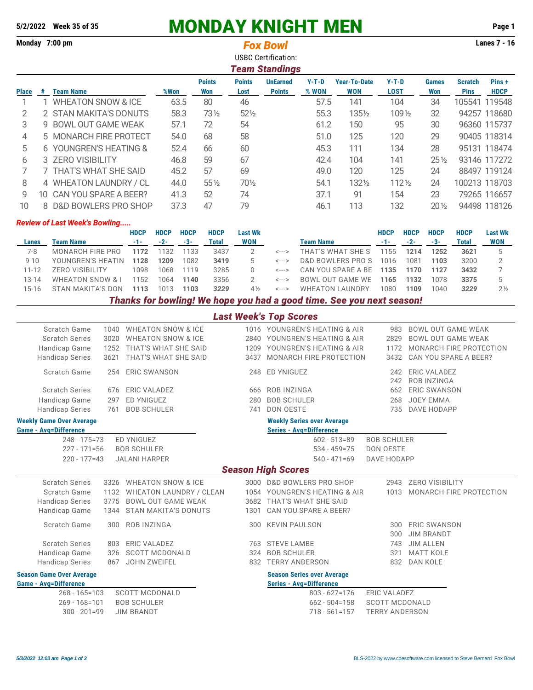## **5/2/2022** Week 35 of 35 **MONDAY KNIGHT MEN** Page 1<br>Monday 7:00 pm **Page 1**

|              |     | Monday 7:00 pm                       |             |             | <b>Fox Bowl</b><br><b>USBC Certification:</b><br><b>Team Standings</b> |                      |                       |                                  |                  |                             |                        |                  |                     | <b>Lanes 7 - 16</b>           |                      |  |  |  |
|--------------|-----|--------------------------------------|-------------|-------------|------------------------------------------------------------------------|----------------------|-----------------------|----------------------------------|------------------|-----------------------------|------------------------|------------------|---------------------|-------------------------------|----------------------|--|--|--|
| <b>Place</b> | #   | <b>Team Name</b>                     |             | %Won        |                                                                        | <b>Points</b><br>Won | <b>Points</b><br>Lost | <b>UnEarned</b><br><b>Points</b> | $Y-T-D$<br>% WON | <b>Year-To-Date</b><br>WON  | $Y-T-D$<br><b>LOST</b> |                  | <b>Games</b><br>Won | <b>Scratch</b><br><b>Pins</b> | Pins+<br><b>HDCP</b> |  |  |  |
| 1            |     | <b>WHEATON SNOW &amp; ICE</b>        |             |             | 63.5                                                                   | 80                   | 46                    |                                  |                  | 141<br>57.5                 |                        | 104              |                     | 105541                        | 119548               |  |  |  |
| 2            |     | 2 STAN MAKITA'S DONUTS               |             |             | 58.3                                                                   | 73½                  | $52\frac{1}{2}$       |                                  |                  | 55.3<br>1351/2              |                        | $109\frac{1}{2}$ |                     |                               | 94257 118680         |  |  |  |
| 3            | 9   | <b>BOWL OUT GAME WEAK</b>            |             |             | 57.1                                                                   | 72                   | 54                    |                                  | 61.2             | 150                         | 95                     |                  | 30                  |                               | 96360 115737         |  |  |  |
| 4            |     | 5 MONARCH FIRE PROTECT               |             | 54.0        |                                                                        | 68                   | 58                    |                                  | 51.0             | 125                         | 120                    |                  | 29                  |                               | 90405 118314         |  |  |  |
| 5            |     | 6 YOUNGREN'S HEATING &               |             |             | 52.4                                                                   | 66                   | 60                    |                                  | 45.3             | 111                         | 134                    |                  | 28                  |                               | 95131 118474         |  |  |  |
| 6            |     | 3 ZERO VISIBILITY                    |             |             | 46.8                                                                   | 59                   | 67                    |                                  | 42.4             | 104                         | 141                    |                  | $25\%$              |                               | 93146 117272         |  |  |  |
| 7            |     | 7 THAT'S WHAT SHE SAID               |             | 45.2        |                                                                        | 57                   | 69                    |                                  |                  | 49.0<br>120                 |                        | 125              |                     |                               | 88497 119124         |  |  |  |
| 8            |     | 4 WHEATON LAUNDRY / CL               |             | 44.0        |                                                                        | $55\%$               | 701/2                 |                                  | 54.1             | 1321/2                      |                        | $112\frac{1}{2}$ | 24                  |                               | 100213 118703        |  |  |  |
| 9            | 10. | CAN YOU SPARE A BEER?                |             |             | 41.3                                                                   | 52                   | 74                    |                                  | 37.1             | 91                          |                        | 154              | 23                  |                               | 79265 116657         |  |  |  |
| 10           | 8   | D&D BOWLERS PRO SHOP                 |             |             | 37.3                                                                   | 47                   | 79                    |                                  | 46.1             | 113                         | 132                    |                  | $20\%$              |                               | 94498 118126         |  |  |  |
|              |     | <b>Review of Last Week's Bowling</b> |             |             |                                                                        |                      |                       |                                  |                  |                             |                        |                  |                     |                               |                      |  |  |  |
|              |     |                                      | <b>HDCP</b> | <b>HDCP</b> | <b>HDCP</b>                                                            | <b>HDCP</b>          | <b>Last Wk</b>        |                                  |                  |                             | <b>HDCP</b>            | <b>HDCP</b>      | <b>HDCP</b>         | <b>HDCP</b>                   | <b>Last Wk</b>       |  |  |  |
| Lanes        |     | <b>Team Name</b>                     | $-1-$       | $-2-$       | $-3-$                                                                  | <b>Total</b>         | <b>WON</b>            |                                  | <b>Team Name</b> |                             | $-1-$                  | $-2-$            | $-3-$               | <b>Total</b>                  | <b>WON</b>           |  |  |  |
| $7 - 8$      |     | <b>MONARCH FIRE PRO</b>              | 1172        | 1132        | 1133                                                                   | 3437                 | 2                     | <--->                            |                  | THAT'S WHAT SHE S           | 1155                   | 1214             | 1252                | 3621                          | 5                    |  |  |  |
| $9 - 10$     |     | YOUNGREN'S HEATIN                    | 1128        | 1209        | 1082                                                                   | 3419                 | 5                     | <--->                            |                  | <b>D&amp;D BOWLERS PROS</b> | 1016                   | 1081             | 1103                | 3200                          | $\overline{2}$       |  |  |  |
| $11 - 12$    |     | <b>ZERO VISIBILITY</b>               | 1098        | 1068        | 1119                                                                   | 3285                 | 0                     | <--->                            |                  | CAN YOU SPARE A BE          | 1135                   | 1170             | 1127                | 3432                          | 7                    |  |  |  |
| 13-14        |     | <b>WHEATON SNOW &amp; I</b>          | 1152        | 1064        | 1140                                                                   | 3356                 | 2                     | $\leftarrow$ $\rightarrow$       |                  | <b>BOWL OUT GAME WE</b>     | 1165                   | 1132             | 1078                | 3375                          | 5                    |  |  |  |

*Thanks for bowling! We hope you had a good time. See you next season!*

15-16 STAN MAKITA'S DON **1113** 1013 **1103** *3229* 4½ <---> WHEATON LAUNDRY 1080 **1109** 1040 *3229* 2½

13-14 WHEATON SNOW & I 1152 1064 **1140** 3356 2 <---> BOWL OUT GAME WE **1165 1132** 1078 **3375** 5

| <b>Last Week's Top Scores</b> |  |
|-------------------------------|--|
|                               |  |

| Scratch Game                            | 1040       | <b>WHEATON SNOW &amp; ICE</b>  |                  | 1016 YOUNGREN'S HEATING & AIR     | 983                   | <b>BOWL OUT GAME WEAK</b>                 |
|-----------------------------------------|------------|--------------------------------|------------------|-----------------------------------|-----------------------|-------------------------------------------|
| <b>Scratch Series</b>                   | 3020       | <b>WHEATON SNOW &amp; ICE</b>  |                  | 2840 YOUNGREN'S HEATING & AIR     | 2829                  | <b>BOWL OUT GAME WEAK</b>                 |
| Handicap Game                           | 1252       | THAT'S WHAT SHE SAID           |                  | 1209 YOUNGREN'S HEATING & AIR     | 1172                  | MONARCH FIRE PROTECTION                   |
| <b>Handicap Series</b>                  | 3621       | THAT'S WHAT SHE SAID           | 3437             | MONARCH FIRE PROTECTION           | 3432                  | CAN YOU SPARE A BEER?                     |
| Scratch Game                            | 254        | <b>ERIC SWANSON</b>            | 248              | ED YNIGUEZ                        | 242<br>242            | <b>ERIC VALADEZ</b><br><b>ROB INZINGA</b> |
| <b>Scratch Series</b>                   | 676        | <b>ERIC VALADEZ</b>            | 666              | <b>ROB INZINGA</b>                | 662                   | <b>ERIC SWANSON</b>                       |
| Handicap Game                           | 297        | <b>ED YNIGUEZ</b>              | 280              | <b>BOB SCHULER</b>                | 268                   | JOEY EMMA                                 |
| <b>Handicap Series</b>                  | 761        | <b>BOB SCHULER</b>             | 741              | DON OESTE                         | 735                   | DAVE HODAPP                               |
| <b>Weekly Game Over Average</b>         |            |                                |                  | <b>Weekly Series over Average</b> |                       |                                           |
| <b>Game - Avg=Difference</b>            |            |                                |                  | Series - Avg=Difference           |                       |                                           |
| $248 - 175 = 73$                        |            | <b>ED YNIGUEZ</b>              |                  | $602 - 513 = 89$                  | <b>BOB SCHULER</b>    |                                           |
| $227 - 171 = 56$                        |            | <b>BOB SCHULER</b>             | $534 - 459 = 75$ | <b>DON OESTE</b>                  |                       |                                           |
| $220 - 177 = 43$                        |            | <b>JALANI HARPER</b>           |                  | $540 - 471 = 69$                  | DAVE HODAPP           |                                           |
|                                         |            |                                |                  | <b>Season High Scores</b>         |                       |                                           |
| <b>Scratch Series</b>                   | 3326       | <b>WHEATON SNOW &amp; ICE</b>  |                  | 3000 D&D BOWLERS PRO SHOP         | 2943                  | <b>ZERO VISIBILITY</b>                    |
| Scratch Game                            | 1132       | <b>WHEATON LAUNDRY / CLEAN</b> |                  | 1054 YOUNGREN'S HEATING & AIR     | 1013                  | MONARCH FIRE PROTECTION                   |
| <b>Handicap Series</b>                  | 3775       | <b>BOWL OUT GAME WEAK</b>      |                  | 3682 THAT'S WHAT SHE SAID         |                       |                                           |
| Handicap Game                           | 1344       | <b>STAN MAKITA'S DONUTS</b>    | 1301             | CAN YOU SPARE A BEER?             |                       |                                           |
| Scratch Game                            | 300        | <b>ROB INZINGA</b>             | 300              | <b>KEVIN PAULSON</b>              | 300                   | <b>ERIC SWANSON</b><br><b>JIM BRANDT</b>  |
| <b>Scratch Series</b>                   |            | <b>ERIC VALADEZ</b>            |                  | <b>STEVE LAMBE</b>                | 300                   | <b>JIM ALLEN</b>                          |
|                                         | 803<br>326 | <b>SCOTT MCDONALD</b>          | 763<br>324       | <b>BOB SCHULER</b>                | 743<br>321            | <b>MATT KOLE</b>                          |
| Handicap Game<br><b>Handicap Series</b> | 867        | <b>JOHN ZWEIFEL</b>            |                  | 832 TERRY ANDERSON                | 832                   | <b>DAN KOLE</b>                           |
|                                         |            |                                |                  |                                   |                       |                                           |
| <b>Season Game Over Average</b>         |            |                                |                  | <b>Season Series over Average</b> |                       |                                           |
| <b>Game - Avg=Difference</b>            |            |                                |                  | <b>Series - Avg=Difference</b>    |                       |                                           |
| $268 - 165 = 103$                       |            | <b>SCOTT MCDONALD</b>          |                  | $803 - 627 = 176$                 | <b>ERIC VALADEZ</b>   |                                           |
| $269 - 168 = 101$                       |            | <b>BOB SCHULER</b>             |                  | $662 - 504 = 158$                 | <b>SCOTT MCDONALD</b> |                                           |
| $300 - 201 = 99$                        |            | <b>JIM BRANDT</b>              |                  | $718 - 561 = 157$                 | <b>TERRY ANDERSON</b> |                                           |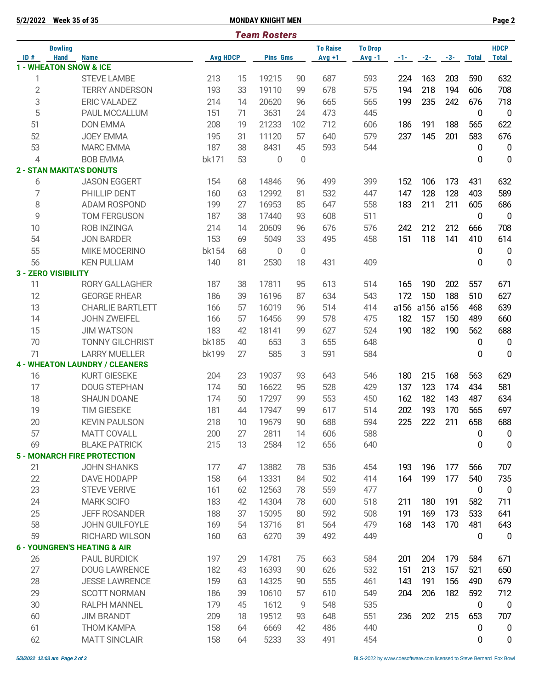| 5/2/2022       | <b>Week 35 of 35</b>          |                                         |                 |    | <b>MONDAY KNIGHT MEN</b> |     |                             |                            |        |       |       |              | Page 2                      |
|----------------|-------------------------------|-----------------------------------------|-----------------|----|--------------------------|-----|-----------------------------|----------------------------|--------|-------|-------|--------------|-----------------------------|
|                |                               |                                         |                 |    | <b>Team Rosters</b>      |     |                             |                            |        |       |       |              |                             |
| ID#            | <b>Bowling</b><br><b>Hand</b> | <b>Name</b>                             | <b>Avg HDCP</b> |    |                          |     | <b>To Raise</b><br>$Avg +1$ | <b>To Drop</b><br>$Avg -1$ | $-1 -$ | $-2-$ | $-3-$ | <b>Total</b> | <b>HDCP</b><br><b>Total</b> |
|                |                               | <b>1 - WHEATON SNOW &amp; ICE</b>       |                 |    | <b>Pins Gms</b>          |     |                             |                            |        |       |       |              |                             |
| 1              |                               | <b>STEVE LAMBE</b>                      | 213             | 15 | 19215                    | 90  | 687                         | 593                        | 224    | 163   | 203   | 590          | 632                         |
| $\overline{2}$ |                               | <b>TERRY ANDERSON</b>                   | 193             | 33 | 19110                    | 99  | 678                         | 575                        | 194    | 218   | 194   | 606          | 708                         |
| 3              |                               | <b>ERIC VALADEZ</b>                     | 214             | 14 | 20620                    | 96  | 665                         | 565                        | 199    | 235   | 242   | 676          | 718                         |
| 5              |                               | PAUL MCCALLUM                           | 151             | 71 | 3631                     | 24  | 473                         | 445                        |        |       |       | 0            | $\overline{0}$              |
| 51             |                               | <b>DON EMMA</b>                         | 208             | 19 | 21233                    | 102 | 712                         | 606                        | 186    | 191   | 188   | 565          | 622                         |
| 52             |                               | <b>JOEY EMMA</b>                        | 195             | 31 | 11120                    | 57  | 640                         | 579                        | 237    | 145   | 201   | 583          | 676                         |
| 53             |                               | <b>MARC EMMA</b>                        | 187             | 38 | 8431                     | 45  | 593                         | 544                        |        |       |       | 0            | $\overline{0}$              |
| $\overline{4}$ |                               | <b>BOB EMMA</b>                         | bk171           | 53 | 0                        | 0   |                             |                            |        |       |       | 0            | $\boldsymbol{0}$            |
|                |                               | <b>2 - STAN MAKITA'S DONUTS</b>         |                 |    |                          |     |                             |                            |        |       |       |              |                             |
| 6              |                               | <b>JASON EGGERT</b>                     | 154             | 68 | 14846                    | 96  | 499                         | 399                        | 152    | 106   | 173   | 431          | 632                         |
| $\overline{7}$ |                               | PHILLIP DENT                            | 160             | 63 | 12992                    | 81  | 532                         | 447                        | 147    | 128   | 128   | 403          | 589                         |
| 8              |                               | <b>ADAM ROSPOND</b>                     | 199             | 27 | 16953                    | 85  | 647                         | 558                        | 183    | 211   | 211   | 605          | 686                         |
| 9              |                               | <b>TOM FERGUSON</b>                     | 187             | 38 | 17440                    | 93  | 608                         | 511                        |        |       |       | 0            | $\overline{0}$              |
| 10             |                               | <b>ROB INZINGA</b>                      | 214             | 14 | 20609                    | 96  | 676                         | 576                        | 242    | 212   | 212   | 666          | 708                         |
| 54             |                               | <b>JON BARDER</b>                       | 153             | 69 | 5049                     | 33  | 495                         | 458                        | 151    | 118   | 141   | 410          | 614                         |
| 55             |                               | <b>MIKE MOCERINO</b>                    | bk154           | 68 | $\Omega$                 | 0   |                             |                            |        |       |       | 0            | 0                           |
| 56             |                               | <b>KEN PULLIAM</b>                      | 140             | 81 | 2530                     | 18  | 431                         | 409                        |        |       |       | 0            | $\mathbf 0$                 |
|                | <b>3 - ZERO VISIBILITY</b>    |                                         |                 |    |                          |     |                             |                            |        |       |       |              |                             |
| 11             |                               | <b>RORY GALLAGHER</b>                   | 187             | 38 | 17811                    | 95  | 613                         | 514                        | 165    | 190   | 202   | 557          | 671                         |
| 12             |                               | <b>GEORGE RHEAR</b>                     | 186             | 39 | 16196                    | 87  | 634                         | 543                        | 172    | 150   | 188   | 510          | 627                         |
| 13             |                               | <b>CHARLIE BARTLETT</b>                 | 166             | 57 | 16019                    | 96  | 514                         | 414                        | a156   | a156  | a156  | 468          | 639                         |
| 14             |                               | <b>JOHN ZWEIFEL</b>                     | 166             | 57 | 16456                    | 99  | 578                         | 475                        | 182    | 157   | 150   | 489          | 660                         |
| 15             |                               | <b>JIM WATSON</b>                       | 183             | 42 | 18141                    | 99  | 627                         | 524                        | 190    | 182   | 190   | 562          | 688                         |
| 70             |                               | <b>TONNY GILCHRIST</b>                  | <b>bk185</b>    | 40 | 653                      | 3   | 655                         | 648                        |        |       |       | 0            | $\mathbf 0$                 |
| 71             |                               | <b>LARRY MUELLER</b>                    | bk199           | 27 | 585                      | 3   | 591                         | 584                        |        |       |       | 0            | 0                           |
|                |                               | <b>4 - WHEATON LAUNDRY / CLEANERS</b>   |                 |    |                          |     |                             |                            |        |       |       |              |                             |
| 16             |                               | <b>KURT GIESEKE</b>                     | 204             | 23 | 19037                    | 93  | 643                         | 546                        | 180    | 215   | 168   | 563          | 629                         |
| 17             |                               | <b>DOUG STEPHAN</b>                     | 174             | 50 | 16622                    | 95  | 528                         | 429                        | 137    | 123   | 174   | 434          | 581                         |
| 18             |                               | <b>SHAUN DOANE</b>                      | 174             | 50 | 17297                    | 99  | 553                         | 450                        | 162    | 182   | 143   | 487          | 634                         |
| 19             |                               | <b>TIM GIESEKE</b>                      | 181             | 44 | 17947                    | 99  | 617                         | 514                        | 202    | 193   | 170   | 565          | 697                         |
| 20             |                               | <b>KEVIN PAULSON</b>                    | 218             | 10 | 19679                    | 90  | 688                         | 594                        | 225    | 222   | 211   | 658          | 688                         |
| 57             |                               | <b>MATT COVALL</b>                      | 200             | 27 | 2811                     | 14  | 606                         | 588                        |        |       |       | 0            | $\boldsymbol{0}$            |
| 69             |                               | <b>BLAKE PATRICK</b>                    | 215             | 13 | 2584                     | 12  | 656                         | 640                        |        |       |       | 0            | 0                           |
|                |                               | <b>5 - MONARCH FIRE PROTECTION</b>      |                 |    |                          |     |                             |                            |        |       |       |              |                             |
| 21             |                               | <b>JOHN SHANKS</b>                      | 177             | 47 | 13882                    | 78  | 536                         | 454                        | 193    | 196   | 177   | 566          | 707                         |
| 22             |                               | DAVE HODAPP                             | 158             | 64 | 13331                    | 84  | 502                         | 414                        | 164    | 199   | 177   | 540          | 735                         |
| 23             |                               | <b>STEVE VERIVE</b>                     | 161             | 62 | 12563                    | 78  | 559                         | 477                        |        |       |       | $\mathbf 0$  | $\overline{0}$              |
| 24             |                               | <b>MARK SCIFO</b>                       | 183             | 42 | 14304                    | 78  | 600                         | 518                        | 211    | 180   | 191   | 582          | 711                         |
| 25             |                               | <b>JEFF ROSANDER</b>                    | 188             | 37 | 15095                    | 80  | 592                         | 508                        | 191    | 169   | 173   | 533          | 641                         |
| 58             |                               | JOHN GUILFOYLE                          | 169             | 54 | 13716                    | 81  | 564                         | 479                        | 168    | 143   | 170   | 481          | 643                         |
| 59             |                               | RICHARD WILSON                          | 160             | 63 | 6270                     | 39  | 492                         | 449                        |        |       |       | 0            | $\mathbf 0$                 |
|                |                               | <b>6 - YOUNGREN'S HEATING &amp; AIR</b> |                 |    |                          |     |                             |                            |        |       |       |              |                             |
| 26             |                               | PAUL BURDICK                            | 197             | 29 | 14781                    | 75  | 663                         | 584                        | 201    | 204   | 179   | 584          | 671                         |
| 27             |                               | <b>DOUG LAWRENCE</b>                    | 182             | 43 | 16393                    | 90  | 626                         | 532                        | 151    | 213   | 157   | 521          | 650                         |
| 28             |                               | <b>JESSE LAWRENCE</b>                   | 159             | 63 | 14325                    | 90  | 555                         | 461                        | 143    | 191   | 156   | 490          | 679                         |
| 29             |                               | <b>SCOTT NORMAN</b>                     | 186             | 39 | 10610                    | 57  | 610                         | 549                        | 204    | 206   | 182   | 592          | 712                         |
| 30             |                               | <b>RALPH MANNEL</b>                     | 179             | 45 | 1612                     | 9   | 548                         | 535                        |        |       |       | $\pmb{0}$    | $\overline{0}$              |
| 60             |                               | <b>JIM BRANDT</b>                       | 209             | 18 | 19512                    | 93  | 648                         | 551                        | 236    | 202   | 215   | 653          | 707                         |
| 61             |                               | <b>THOM KAMPA</b>                       | 158             | 64 | 6669                     | 42  | 486                         | 440                        |        |       |       | 0            | $\mathbf 0$                 |
| 62             |                               | <b>MATT SINCLAIR</b>                    | 158             | 64 | 5233                     | 33  | 491                         | 454                        |        |       |       | 0            | $\mathbf 0$                 |
|                |                               |                                         |                 |    |                          |     |                             |                            |        |       |       |              |                             |